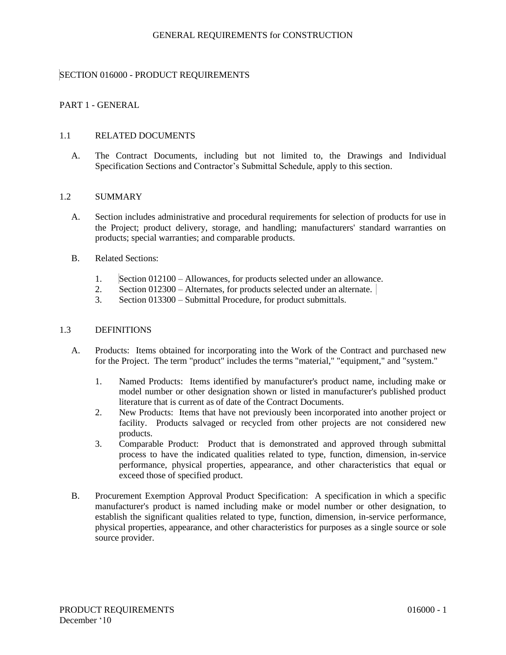#### GENERAL REQUIREMENTS for CONSTRUCTION

# SECTION 016000 - PRODUCT REQUIREMENTS

# PART 1 - GENERAL

#### 1.1 RELATED DOCUMENTS

A. The Contract Documents, including but not limited to, the Drawings and Individual Specification Sections and Contractor's Submittal Schedule, apply to this section.

#### 1.2 SUMMARY

- A. Section includes administrative and procedural requirements for selection of products for use in the Project; product delivery, storage, and handling; manufacturers' standard warranties on products; special warranties; and comparable products.
- B. Related Sections:
	- 1. Section 012100 Allowances, for products selected under an allowance.
	- 2. Section 012300 Alternates, for products selected under an alternate.
	- 3. Section 013300 Submittal Procedure, for product submittals.

#### 1.3 DEFINITIONS

- A. Products: Items obtained for incorporating into the Work of the Contract and purchased new for the Project. The term "product" includes the terms "material," "equipment," and "system."
	- 1. Named Products: Items identified by manufacturer's product name, including make or model number or other designation shown or listed in manufacturer's published product literature that is current as of date of the Contract Documents.
	- 2. New Products: Items that have not previously been incorporated into another project or facility. Products salvaged or recycled from other projects are not considered new products.
	- 3. Comparable Product: Product that is demonstrated and approved through submittal process to have the indicated qualities related to type, function, dimension, in-service performance, physical properties, appearance, and other characteristics that equal or exceed those of specified product.
- B. Procurement Exemption Approval Product Specification: A specification in which a specific manufacturer's product is named including make or model number or other designation, to establish the significant qualities related to type, function, dimension, in-service performance, physical properties, appearance, and other characteristics for purposes as a single source or sole source provider.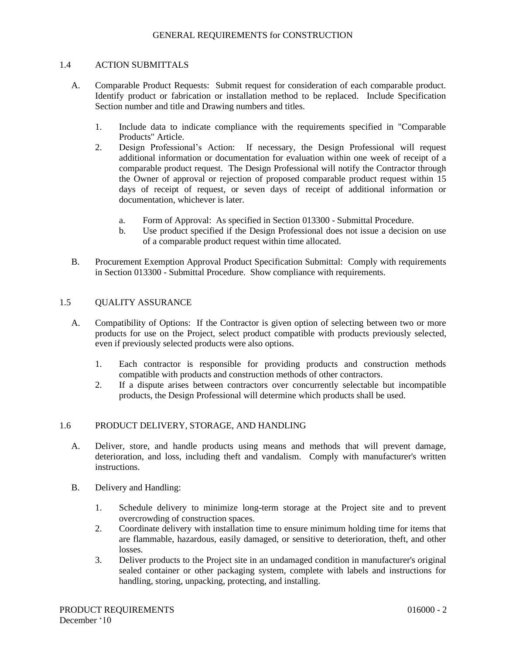#### 1.4 ACTION SUBMITTALS

- A. Comparable Product Requests: Submit request for consideration of each comparable product. Identify product or fabrication or installation method to be replaced. Include Specification Section number and title and Drawing numbers and titles.
	- 1. Include data to indicate compliance with the requirements specified in "Comparable Products" Article.
	- 2. Design Professional's Action: If necessary, the Design Professional will request additional information or documentation for evaluation within one week of receipt of a comparable product request. The Design Professional will notify the Contractor through the Owner of approval or rejection of proposed comparable product request within 15 days of receipt of request, or seven days of receipt of additional information or documentation, whichever is later.
		- a. Form of Approval: As specified in Section 013300 Submittal Procedure.
		- b. Use product specified if the Design Professional does not issue a decision on use of a comparable product request within time allocated.
- B. Procurement Exemption Approval Product Specification Submittal: Comply with requirements in Section 013300 - Submittal Procedure. Show compliance with requirements.

## 1.5 OUALITY ASSURANCE

- A. Compatibility of Options: If the Contractor is given option of selecting between two or more products for use on the Project, select product compatible with products previously selected, even if previously selected products were also options.
	- 1. Each contractor is responsible for providing products and construction methods compatible with products and construction methods of other contractors.
	- 2. If a dispute arises between contractors over concurrently selectable but incompatible products, the Design Professional will determine which products shall be used.

## 1.6 PRODUCT DELIVERY, STORAGE, AND HANDLING

- A. Deliver, store, and handle products using means and methods that will prevent damage, deterioration, and loss, including theft and vandalism. Comply with manufacturer's written instructions.
- B. Delivery and Handling:
	- 1. Schedule delivery to minimize long-term storage at the Project site and to prevent overcrowding of construction spaces.
	- 2. Coordinate delivery with installation time to ensure minimum holding time for items that are flammable, hazardous, easily damaged, or sensitive to deterioration, theft, and other losses.
	- 3. Deliver products to the Project site in an undamaged condition in manufacturer's original sealed container or other packaging system, complete with labels and instructions for handling, storing, unpacking, protecting, and installing.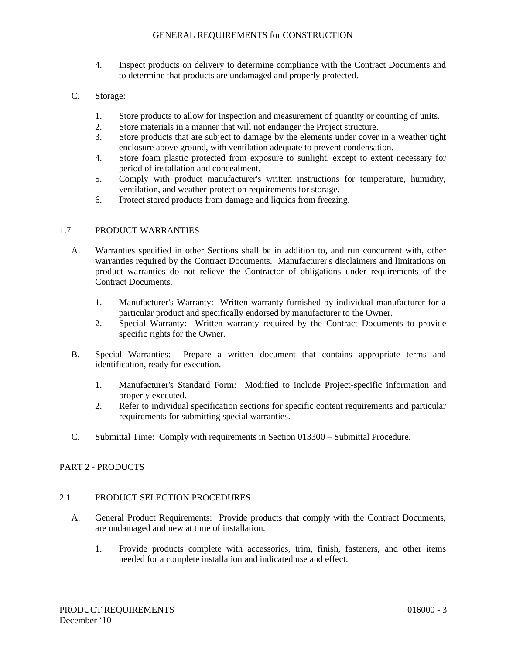- 4. Inspect products on delivery to determine compliance with the Contract Documents and to determine that products are undamaged and properly protected.
- C. Storage:
	- 1. Store products to allow for inspection and measurement of quantity or counting of units.
	- 2. Store materials in a manner that will not endanger the Project structure.
	- 3. Store products that are subject to damage by the elements under cover in a weather tight enclosure above ground, with ventilation adequate to prevent condensation.
	- 4. Store foam plastic protected from exposure to sunlight, except to extent necessary for period of installation and concealment.
	- 5. Comply with product manufacturer's written instructions for temperature, humidity, ventilation, and weather-protection requirements for storage.
	- 6. Protect stored products from damage and liquids from freezing.

## 1.7 PRODUCT WARRANTIES

- A. Warranties specified in other Sections shall be in addition to, and run concurrent with, other warranties required by the Contract Documents. Manufacturer's disclaimers and limitations on product warranties do not relieve the Contractor of obligations under requirements of the Contract Documents.
	- 1. Manufacturer's Warranty: Written warranty furnished by individual manufacturer for a particular product and specifically endorsed by manufacturer to the Owner.
	- 2. Special Warranty: Written warranty required by the Contract Documents to provide specific rights for the Owner.
- B. Special Warranties: Prepare a written document that contains appropriate terms and identification, ready for execution.
	- 1. Manufacturer's Standard Form: Modified to include Project-specific information and properly executed.
	- 2. Refer to individual specification sections for specific content requirements and particular requirements for submitting special warranties.
- C. Submittal Time: Comply with requirements in Section 013300 Submittal Procedure.

## PART 2 - PRODUCTS

## 2.1 PRODUCT SELECTION PROCEDURES

- A. General Product Requirements: Provide products that comply with the Contract Documents, are undamaged and new at time of installation.
	- 1. Provide products complete with accessories, trim, finish, fasteners, and other items needed for a complete installation and indicated use and effect.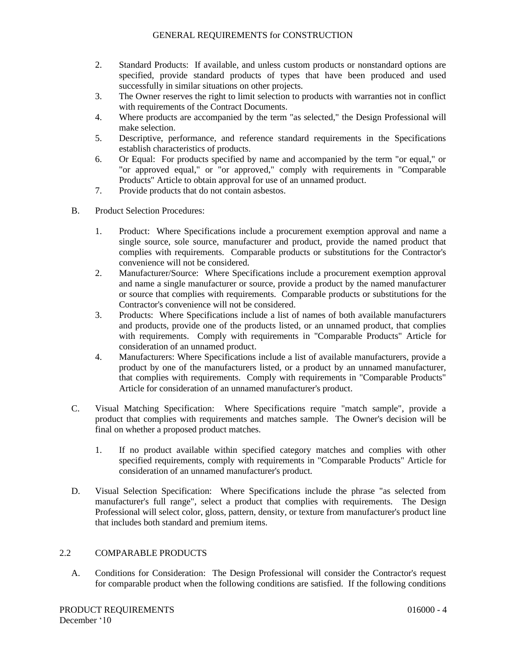- 2. Standard Products: If available, and unless custom products or nonstandard options are specified, provide standard products of types that have been produced and used successfully in similar situations on other projects.
- 3. The Owner reserves the right to limit selection to products with warranties not in conflict with requirements of the Contract Documents.
- 4. Where products are accompanied by the term "as selected," the Design Professional will make selection.
- 5. Descriptive, performance, and reference standard requirements in the Specifications establish characteristics of products.
- 6. Or Equal: For products specified by name and accompanied by the term "or equal," or "or approved equal," or "or approved," comply with requirements in "Comparable Products" Article to obtain approval for use of an unnamed product.
- 7. Provide products that do not contain asbestos.
- B. Product Selection Procedures:
	- 1. Product: Where Specifications include a procurement exemption approval and name a single source, sole source, manufacturer and product, provide the named product that complies with requirements. Comparable products or substitutions for the Contractor's convenience will not be considered.
	- 2. Manufacturer/Source: Where Specifications include a procurement exemption approval and name a single manufacturer or source, provide a product by the named manufacturer or source that complies with requirements. Comparable products or substitutions for the Contractor's convenience will not be considered.
	- 3. Products: Where Specifications include a list of names of both available manufacturers and products, provide one of the products listed, or an unnamed product, that complies with requirements. Comply with requirements in "Comparable Products" Article for consideration of an unnamed product.
	- 4. Manufacturers: Where Specifications include a list of available manufacturers, provide a product by one of the manufacturers listed, or a product by an unnamed manufacturer, that complies with requirements. Comply with requirements in "Comparable Products" Article for consideration of an unnamed manufacturer's product.
- C. Visual Matching Specification: Where Specifications require "match sample", provide a product that complies with requirements and matches sample. The Owner's decision will be final on whether a proposed product matches.
	- 1. If no product available within specified category matches and complies with other specified requirements, comply with requirements in "Comparable Products" Article for consideration of an unnamed manufacturer's product.
- D. Visual Selection Specification: Where Specifications include the phrase "as selected from manufacturer's full range", select a product that complies with requirements. The Design Professional will select color, gloss, pattern, density, or texture from manufacturer's product line that includes both standard and premium items.

## 2.2 COMPARABLE PRODUCTS

A. Conditions for Consideration: The Design Professional will consider the Contractor's request for comparable product when the following conditions are satisfied. If the following conditions